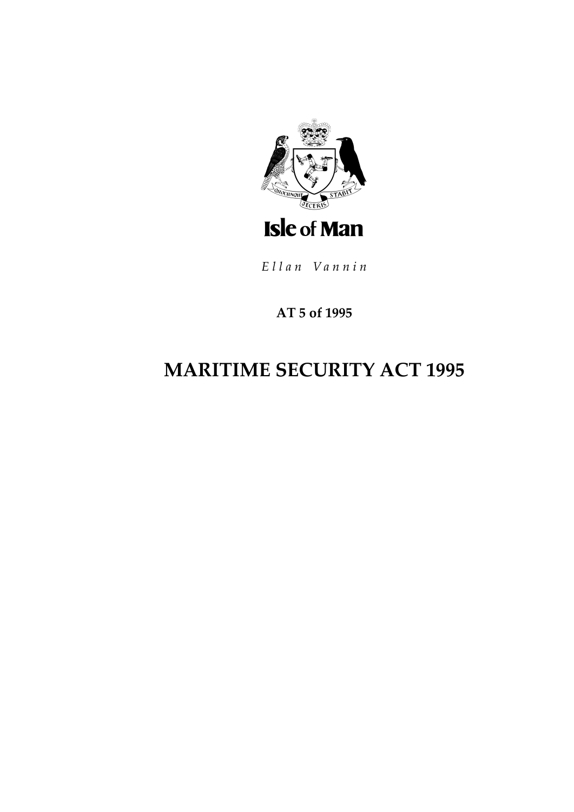

Ellan Vannin

## **AT 5 of 1995**

# **MARITIME SECURITY ACT 1995**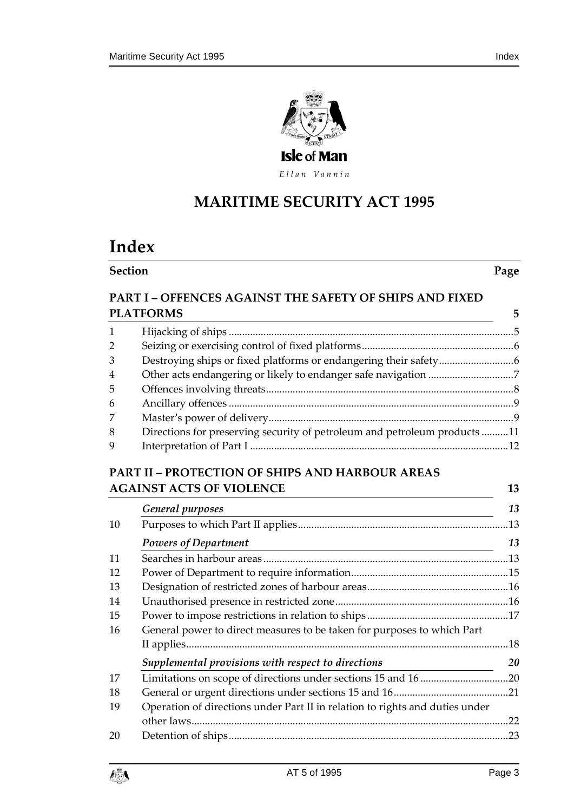

Ellan Vannin

## **MARITIME SECURITY AC T 1995**

## **Index**

**Section Page**

### **PART I – [OFFENCES AGAINST THE SAFETY OF SHIPS AND FIXED](#page-4-0)  [PLATFORMS](#page-4-0) 5**

| $\mathbf{1}$   |                                                                           |  |
|----------------|---------------------------------------------------------------------------|--|
| $\overline{2}$ |                                                                           |  |
| 3              |                                                                           |  |
| $\overline{4}$ |                                                                           |  |
| 5              |                                                                           |  |
| 6              |                                                                           |  |
| 7              |                                                                           |  |
| 8              | Directions for preserving security of petroleum and petroleum products 11 |  |
| 9              |                                                                           |  |

### **PART II – PROTECTION [OF SHIPS AND HARBOUR AREAS](#page-12-0)  [AGAINST ACTS OF VIOLENCE](#page-12-0) 13**

|                                                                                    | General purposes                                                                                                                        | 13        |
|------------------------------------------------------------------------------------|-----------------------------------------------------------------------------------------------------------------------------------------|-----------|
| 10                                                                                 |                                                                                                                                         |           |
|                                                                                    | <b>Powers of Department</b><br>the control of the control of the control of the control of the control of the control of the control of | 13        |
| 11                                                                                 |                                                                                                                                         |           |
| 12                                                                                 |                                                                                                                                         |           |
| 13                                                                                 |                                                                                                                                         |           |
| 14                                                                                 |                                                                                                                                         |           |
| 15                                                                                 |                                                                                                                                         |           |
| 16                                                                                 | General power to direct measures to be taken for purposes to which Part                                                                 |           |
|                                                                                    |                                                                                                                                         |           |
|                                                                                    | Supplemental provisions with respect to directions                                                                                      | <b>20</b> |
| 17                                                                                 |                                                                                                                                         |           |
| 18                                                                                 |                                                                                                                                         |           |
| Operation of directions under Part II in relation to rights and duties under<br>19 |                                                                                                                                         |           |
|                                                                                    |                                                                                                                                         | 22        |
| 20                                                                                 |                                                                                                                                         | .23       |

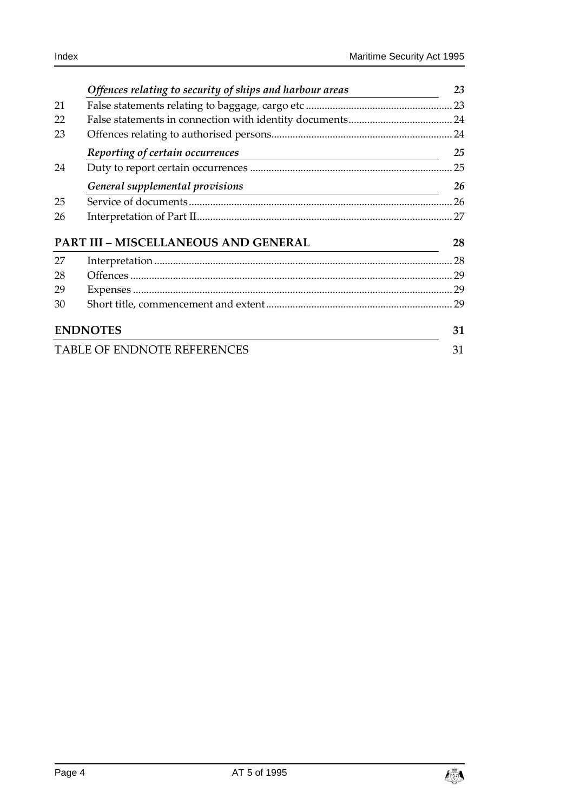|                                    | Offences relating to security of ships and harbour areas                                       | 23 |
|------------------------------------|------------------------------------------------------------------------------------------------|----|
| 21                                 |                                                                                                |    |
| 22                                 |                                                                                                |    |
| 23                                 |                                                                                                |    |
|                                    | Reporting of certain occurrences<br><u> 1989 - Johann Barn, amerikansk politiker (d. 1989)</u> | 25 |
| 24                                 |                                                                                                | 25 |
|                                    | General supplemental provisions                                                                | 26 |
| 25                                 |                                                                                                | 26 |
| 26                                 |                                                                                                | 27 |
|                                    | <b>PART III - MISCELLANEOUS AND GENERAL</b>                                                    | 28 |
| 27                                 |                                                                                                | 28 |
| 28                                 |                                                                                                | 29 |
| 29                                 |                                                                                                | 29 |
| 30                                 |                                                                                                | 29 |
| <b>ENDNOTES</b>                    |                                                                                                |    |
| <b>TABLE OF ENDNOTE REFERENCES</b> |                                                                                                |    |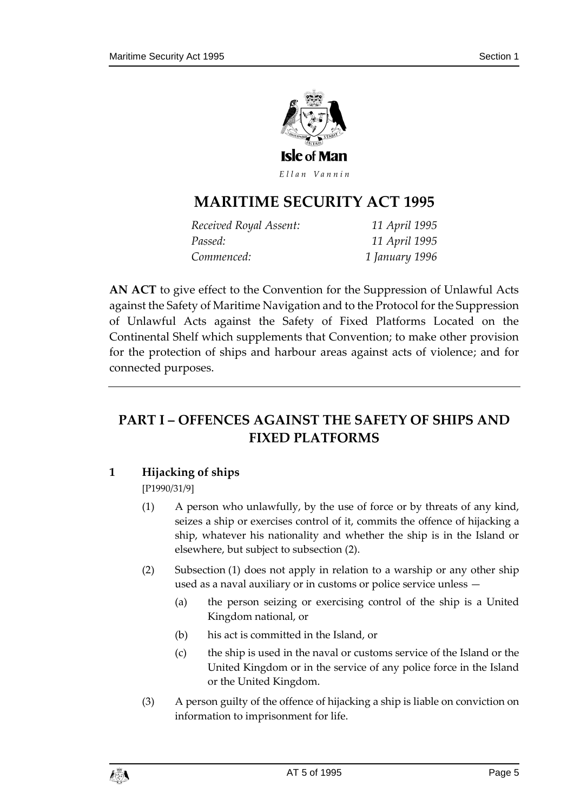

Ellan Vannin

## **MARITIME SECURITY AC T 1995**

| Received Royal Assent: | 11 April 1995  |
|------------------------|----------------|
| Passed:                | 11 April 1995  |
| Commenced:             | 1 January 1996 |

**AN ACT** to give effect to the Convention for the Suppression of Unlawful Acts against the Safety of Maritime Navigation and to the Protocol for the Suppression of Unlawful Acts against the Safety of Fixed Platforms Located on the Continental Shelf which supplements that Convention; to make other provision for the protection of ships and harbour areas against acts of violence; and for connected purposes.

## <span id="page-4-0"></span>**PART I – OFFENCES AGAINST THE SAFETY OF SHIPS AND FIXED PLATFORMS**

### <span id="page-4-1"></span>**1 Hijacking of ships**

[P1990/31/9]

- (1) A person who unlawfully, by the use of force or by threats of any kind, seizes a ship or exercises control of it, commits the offence of hijacking a ship, whatever his nationality and whether the ship is in the Island or elsewhere, but subject to subsection (2).
- (2) Subsection (1) does not apply in relation to a warship or any other ship used as a naval auxiliary or in customs or police service unless —
	- (a) the person seizing or exercising control of the ship is a United Kingdom national, or
	- (b) his act is committed in the Island, or
	- (c) the ship is used in the naval or customs service of the Island or the United Kingdom or in the service of any police force in the Island or the United Kingdom.
- (3) A person guilty of the offence of hijacking a ship is liable on conviction on information to imprisonment for life.

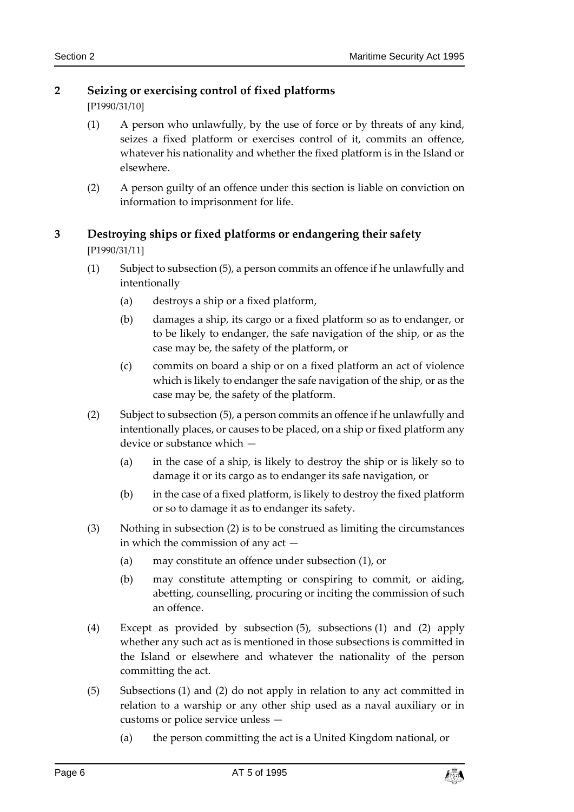### <span id="page-5-0"></span>**2 Seizing or exercising control of fixed platforms**

[P1990/31/10]

- (1) A person who unlawfully, by the use of force or by threats of any kind, seizes a fixed platform or exercises control of it, commits an offence, whatever his nationality and whether the fixed platform is in the Island or elsewhere.
- (2) A person guilty of an offence under this section is liable on conviction on information to imprisonment for life.

### <span id="page-5-1"></span>**3 Destroying ships or fixed platforms or endangering their safety** [P1990/31/11]

- (1) Subject to subsection (5), a person commits an offence if he unlawfully and intentionally
	- (a) destroys a ship or a fixed platform,
	- (b) damages a ship, its cargo or a fixed platform so as to endanger, or to be likely to endanger, the safe navigation of the ship, or as the case may be, the safety of the platform, or
	- (c) commits on board a ship or on a fixed platform an act of violence which is likely to endanger the safe navigation of the ship, or as the case may be, the safety of the platform.
- (2) Subject to subsection (5), a person commits an offence if he unlawfully and intentionally places, or causes to be placed, on a ship or fixed platform any device or substance which —
	- (a) in the case of a ship, is likely to destroy the ship or is likely so to damage it or its cargo as to endanger its safe navigation, or
	- (b) in the case of a fixed platform, is likely to destroy the fixed platform or so to damage it as to endanger its safety.
- (3) Nothing in subsection (2) is to be construed as limiting the circumstances in which the commission of any act —
	- (a) may constitute an offence under subsection (1), or
	- (b) may constitute attempting or conspiring to commit, or aiding, abetting, counselling, procuring or inciting the commission of such an offence.
- (4) Except as provided by subsection (5), subsections (1) and (2) apply whether any such act as is mentioned in those subsections is committed in the Island or elsewhere and whatever the nationality of the person committing the act.
- (5) Subsections (1) and (2) do not apply in relation to any act committed in relation to a warship or any other ship used as a naval auxiliary or in customs or police service unless —
	- (a) the person committing the act is a United Kingdom national, or

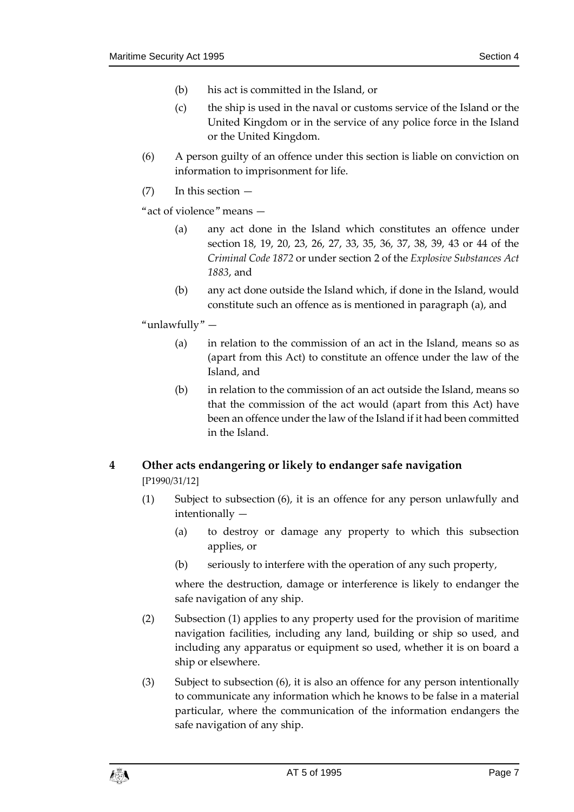- (b) his act is committed in the Island, or
- (c) the ship is used in the naval or customs service of the Island or the United Kingdom or in the service of any police force in the Island or the United Kingdom.
- (6) A person guilty of an offence under this section is liable on conviction on information to imprisonment for life.
- (7) In this section —

"act of violence" means —

- (a) any act done in the Island which constitutes an offence under section 18, 19, 20, 23, 26, 27, 33, 35, 36, 37, 38, 39, 43 or 44 of the *Criminal Code 1872* or under section 2 of the *Explosive Substances Act 1883*, and
- (b) any act done outside the Island which, if done in the Island, would constitute such an offence as is mentioned in paragraph (a), and
- "unlawfully"
	- (a) in relation to the commission of an act in the Island, means so as (apart from this Act) to constitute an offence under the law of the Island, and
	- (b) in relation to the commission of an act outside the Island, means so that the commission of the act would (apart from this Act) have been an offence under the law of the Island if it had been committed in the Island.

### <span id="page-6-0"></span>**4 Other acts endangering or likely to endanger safe navigation** [P1990/31/12]

- (1) Subject to subsection (6), it is an offence for any person unlawfully and intentionally —
	- (a) to destroy or damage any property to which this subsection applies, or
	- (b) seriously to interfere with the operation of any such property,

where the destruction, damage or interference is likely to endanger the safe navigation of any ship.

- (2) Subsection (1) applies to any property used for the provision of maritime navigation facilities, including any land, building or ship so used, and including any apparatus or equipment so used, whether it is on board a ship or elsewhere.
- (3) Subject to subsection (6), it is also an offence for any person intentionally to communicate any information which he knows to be false in a material particular, where the communication of the information endangers the safe navigation of any ship.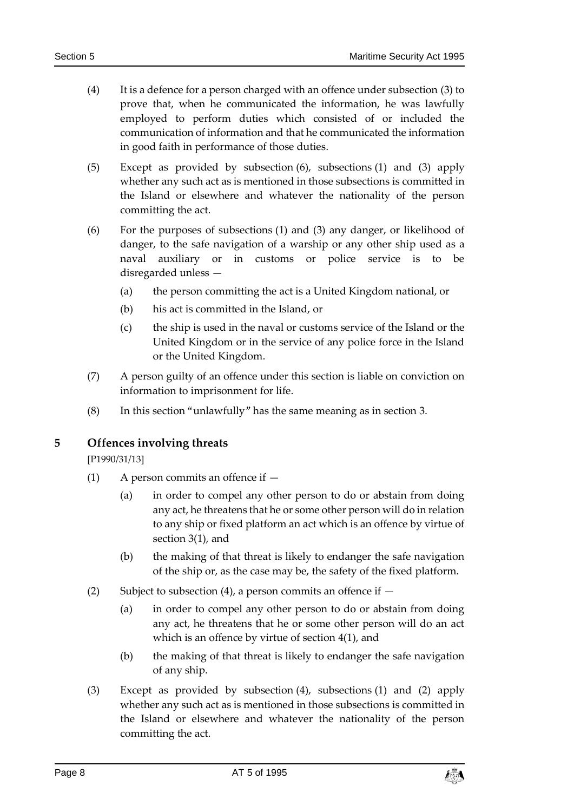- (4) It is a defence for a person charged with an offence under subsection (3) to prove that, when he communicated the information, he was lawfully employed to perform duties which consisted of or included the communication of information and that he communicated the information in good faith in performance of those duties.
- (5) Except as provided by subsection (6), subsections (1) and (3) apply whether any such act as is mentioned in those subsections is committed in the Island or elsewhere and whatever the nationality of the person committing the act.
- (6) For the purposes of subsections (1) and (3) any danger, or likelihood of danger, to the safe navigation of a warship or any other ship used as a naval auxiliary or in customs or police service is to be disregarded unless —
	- (a) the person committing the act is a United Kingdom national, or
	- (b) his act is committed in the Island, or
	- (c) the ship is used in the naval or customs service of the Island or the United Kingdom or in the service of any police force in the Island or the United Kingdom.
- (7) A person guilty of an offence under this section is liable on conviction on information to imprisonment for life.
- (8) In this section "unlawfully" has the same meaning as in section 3.

<span id="page-7-0"></span>**5 Offences involving threats**

[P1990/31/13]

- (1) A person commits an offence if
	- (a) in order to compel any other person to do or abstain from doing any act, he threatens that he or some other person will do in relation to any ship or fixed platform an act which is an offence by virtue of section 3(1), and
	- (b) the making of that threat is likely to endanger the safe navigation of the ship or, as the case may be, the safety of the fixed platform.
- (2) Subject to subsection (4), a person commits an offence if  $-$ 
	- (a) in order to compel any other person to do or abstain from doing any act, he threatens that he or some other person will do an act which is an offence by virtue of section 4(1), and
	- (b) the making of that threat is likely to endanger the safe navigation of any ship.
- (3) Except as provided by subsection (4), subsections (1) and (2) apply whether any such act as is mentioned in those subsections is committed in the Island or elsewhere and whatever the nationality of the person committing the act.

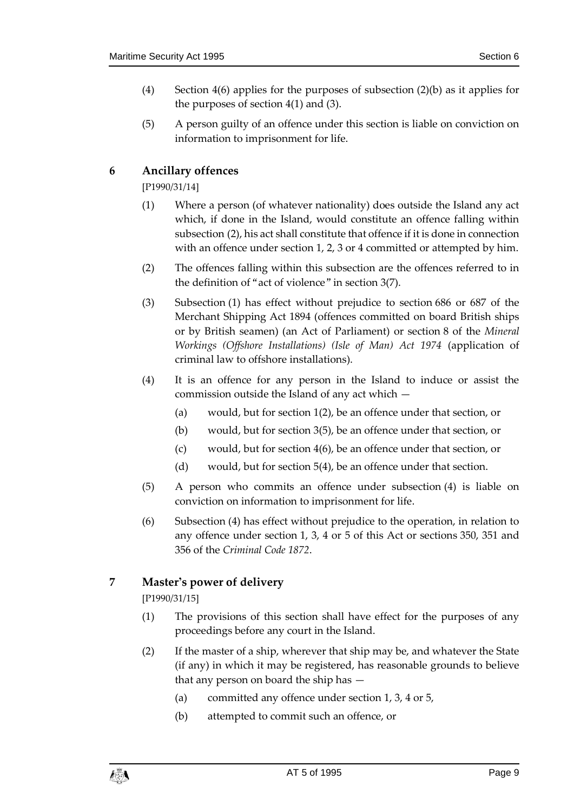- (4) Section 4(6) applies for the purposes of subsection (2)(b) as it applies for the purposes of section 4(1) and (3).
- (5) A person guilty of an offence under this section is liable on conviction on information to imprisonment for life.

### <span id="page-8-0"></span>**6 Ancillary offences**

[P1990/31/14]

- (1) Where a person (of whatever nationality) does outside the Island any act which, if done in the Island, would constitute an offence falling within subsection (2), his act shall constitute that offence if it is done in connection with an offence under section 1, 2, 3 or 4 committed or attempted by him.
- (2) The offences falling within this subsection are the offences referred to in the definition of "act of violence" in section 3(7).
- (3) Subsection (1) has effect without prejudice to section 686 or 687 of the Merchant Shipping Act 1894 (offences committed on board British ships or by British seamen) (an Act of Parliament) or section 8 of the *Mineral Workings (Offshore Installations) (Isle of Man) Act 1974* (application of criminal law to offshore installations).
- (4) It is an offence for any person in the Island to induce or assist the commission outside the Island of any act which —
	- (a) would, but for section 1(2), be an offence under that section, or
	- (b) would, but for section 3(5), be an offence under that section, or
	- (c) would, but for section 4(6), be an offence under that section, or
	- (d) would, but for section 5(4), be an offence under that section.
- (5) A person who commits an offence under subsection (4) is liable on conviction on information to imprisonment for life.
- (6) Subsection (4) has effect without prejudice to the operation, in relation to any offence under section 1, 3, 4 or 5 of this Act or sections 350, 351 and 356 of the *Criminal Code 1872*.

### <span id="page-8-1"></span>**7 Master's power of delivery**

[P1990/31/15]

- (1) The provisions of this section shall have effect for the purposes of any proceedings before any court in the Island.
- (2) If the master of a ship, wherever that ship may be, and whatever the State (if any) in which it may be registered, has reasonable grounds to believe that any person on board the ship has —
	- (a) committed any offence under section 1, 3, 4 or 5,
	- (b) attempted to commit such an offence, or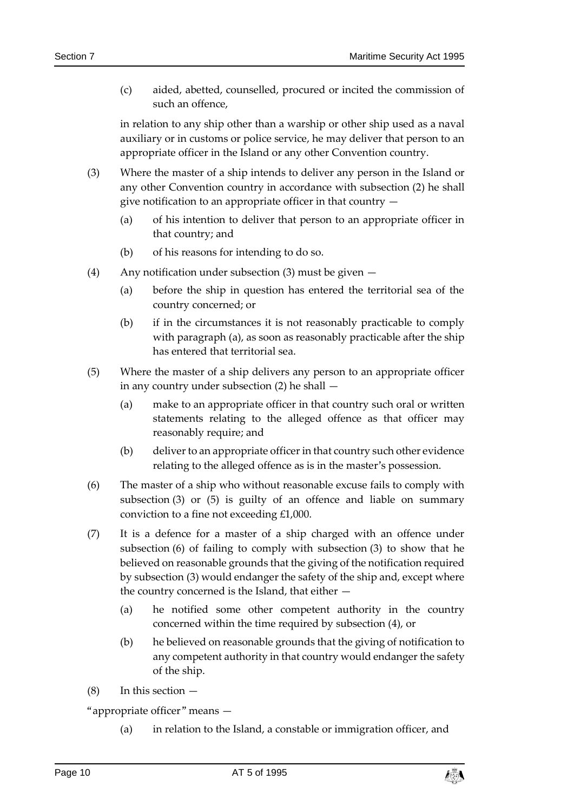(c) aided, abetted, counselled, procured or incited the commission of such an offence,

in relation to any ship other than a warship or other ship used as a naval auxiliary or in customs or police service, he may deliver that person to an appropriate officer in the Island or any other Convention country.

- (3) Where the master of a ship intends to deliver any person in the Island or any other Convention country in accordance with subsection (2) he shall give notification to an appropriate officer in that country —
	- (a) of his intention to deliver that person to an appropriate officer in that country; and
	- (b) of his reasons for intending to do so.
- (4) Any notification under subsection (3) must be given
	- (a) before the ship in question has entered the territorial sea of the country concerned; or
	- (b) if in the circumstances it is not reasonably practicable to comply with paragraph (a), as soon as reasonably practicable after the ship has entered that territorial sea.
- (5) Where the master of a ship delivers any person to an appropriate officer in any country under subsection (2) he shall —
	- (a) make to an appropriate officer in that country such oral or written statements relating to the alleged offence as that officer may reasonably require; and
	- (b) deliver to an appropriate officer in that country such other evidence relating to the alleged offence as is in the master's possession.
- (6) The master of a ship who without reasonable excuse fails to comply with subsection (3) or (5) is guilty of an offence and liable on summary conviction to a fine not exceeding £1,000.
- (7) It is a defence for a master of a ship charged with an offence under subsection (6) of failing to comply with subsection (3) to show that he believed on reasonable grounds that the giving of the notification required by subsection (3) would endanger the safety of the ship and, except where the country concerned is the Island, that either —
	- (a) he notified some other competent authority in the country concerned within the time required by subsection (4), or
	- (b) he believed on reasonable grounds that the giving of notification to any competent authority in that country would endanger the safety of the ship.
- $(8)$  In this section  $-$

"appropriate officer" means —

(a) in relation to the Island, a constable or immigration officer, and

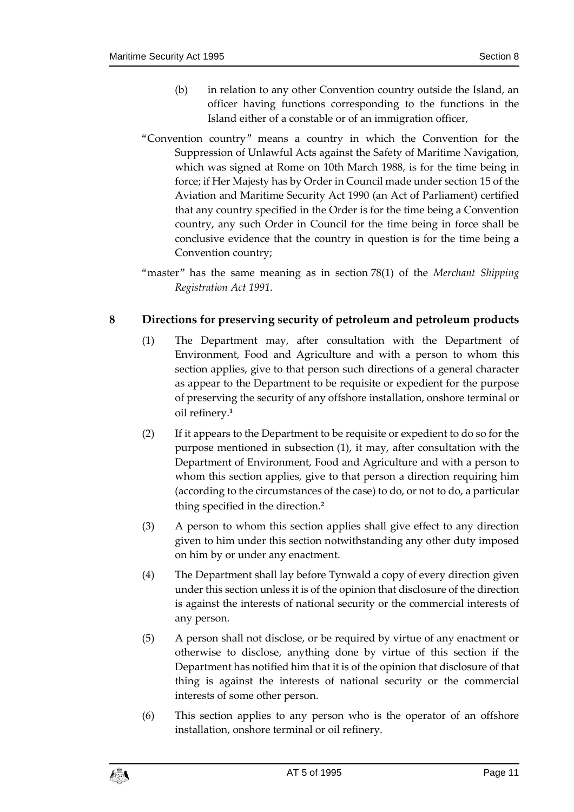- (b) in relation to any other Convention country outside the Island, an officer having functions corresponding to the functions in the Island either of a constable or of an immigration officer,
- "Convention country" means a country in which the Convention for the Suppression of Unlawful Acts against the Safety of Maritime Navigation, which was signed at Rome on 10th March 1988, is for the time being in force; if Her Majesty has by Order in Council made under section 15 of the Aviation and Maritime Security Act 1990 (an Act of Parliament) certified that any country specified in the Order is for the time being a Convention country, any such Order in Council for the time being in force shall be conclusive evidence that the country in question is for the time being a Convention country;
- "master" has the same meaning as in section 78(1) of the *Merchant Shipping Registration Act 1991*.

### <span id="page-10-0"></span>**8 Directions for preserving security of petroleum and petroleum products**

- (1) The Department may, after consultation with the Department of Environment, Food and Agriculture and with a person to whom this section applies, give to that person such directions of a general character as appear to the Department to be requisite or expedient for the purpose of preserving the security of any offshore installation, onshore terminal or oil refinery.**<sup>1</sup>**
- (2) If it appears to the Department to be requisite or expedient to do so for the purpose mentioned in subsection (1), it may, after consultation with the Department of Environment, Food and Agriculture and with a person to whom this section applies, give to that person a direction requiring him (according to the circumstances of the case) to do, or not to do, a particular thing specified in the direction.**<sup>2</sup>**
- (3) A person to whom this section applies shall give effect to any direction given to him under this section notwithstanding any other duty imposed on him by or under any enactment.
- (4) The Department shall lay before Tynwald a copy of every direction given under this section unless it is of the opinion that disclosure of the direction is against the interests of national security or the commercial interests of any person.
- (5) A person shall not disclose, or be required by virtue of any enactment or otherwise to disclose, anything done by virtue of this section if the Department has notified him that it is of the opinion that disclosure of that thing is against the interests of national security or the commercial interests of some other person.
- (6) This section applies to any person who is the operator of an offshore installation, onshore terminal or oil refinery.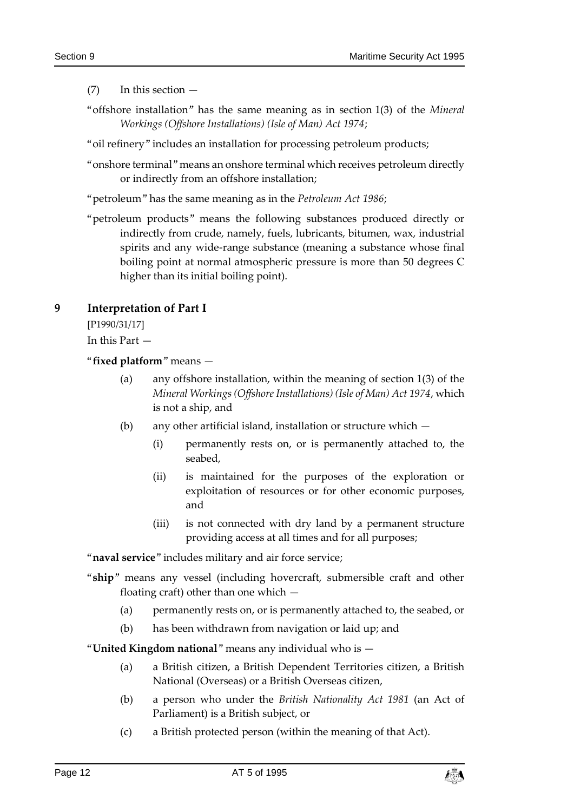(7) In this section —

- "offshore installation" has the same meaning as in section 1(3) of the *Mineral Workings (Offshore Installations) (Isle of Man) Act 1974*;
- "oil refinery" includes an installation for processing petroleum products;
- "onshore terminal" means an onshore terminal which receives petroleum directly or indirectly from an offshore installation;
- "petroleum" has the same meaning as in the *Petroleum Act 1986*;
- "petroleum products" means the following substances produced directly or indirectly from crude, namely, fuels, lubricants, bitumen, wax, industrial spirits and any wide-range substance (meaning a substance whose final boiling point at normal atmospheric pressure is more than 50 degrees C higher than its initial boiling point).

### <span id="page-11-0"></span>**9 Interpretation of Part I**

[P1990/31/17]

In this Part —

"**fixed platform**" means —

- (a) any offshore installation, within the meaning of section 1(3) of the *Mineral Workings (Offshore Installations) (Isle of Man) Act 1974*, which is not a ship, and
- (b) any other artificial island, installation or structure which
	- (i) permanently rests on, or is permanently attached to, the seabed,
	- (ii) is maintained for the purposes of the exploration or exploitation of resources or for other economic purposes, and
	- (iii) is not connected with dry land by a permanent structure providing access at all times and for all purposes;

"**naval service**" includes military and air force service;

- "**ship**" means any vessel (including hovercraft, submersible craft and other floating craft) other than one which —
	- (a) permanently rests on, or is permanently attached to, the seabed, or
	- (b) has been withdrawn from navigation or laid up; and

"**United Kingdom national**" means any individual who is —

- (a) a British citizen, a British Dependent Territories citizen, a British National (Overseas) or a British Overseas citizen,
- (b) a person who under the *British Nationality Act 1981* (an Act of Parliament) is a British subject, or
- (c) a British protected person (within the meaning of that Act).

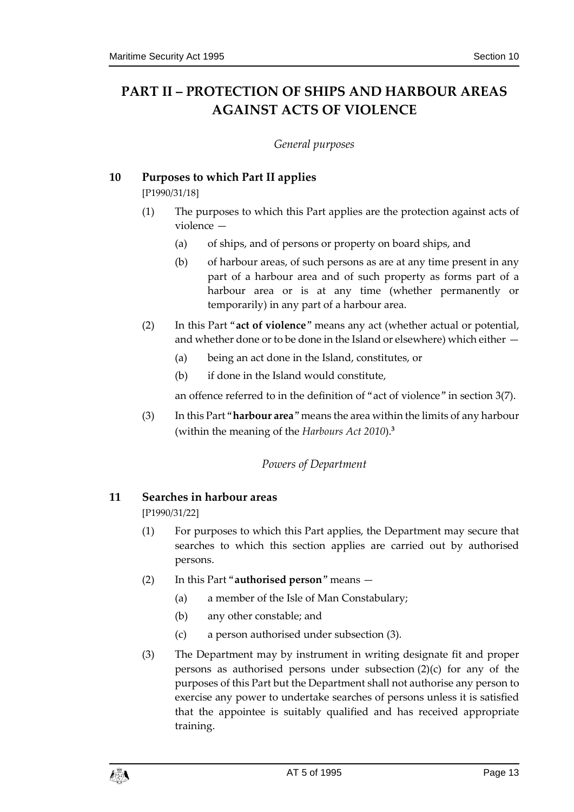## <span id="page-12-1"></span><span id="page-12-0"></span>**PART II – PROTECTION OF SHIPS AND HARBOUR AREAS AGAINST ACTS OF VIOLENCE**

#### *General purposes*

### <span id="page-12-2"></span>**10 Purposes to which Part II applies**

[P1990/31/18]

- (1) The purposes to which this Part applies are the protection against acts of violence
	- (a) of ships, and of persons or property on board ships, and
	- (b) of harbour areas, of such persons as are at any time present in any part of a harbour area and of such property as forms part of a harbour area or is at any time (whether permanently or temporarily) in any part of a harbour area.
- (2) In this Part "**act of violence**" means any act (whether actual or potential, and whether done or to be done in the Island or elsewhere) which either —
	- (a) being an act done in the Island, constitutes, or
	- (b) if done in the Island would constitute,

an offence referred to in the definition of "act of violence" in section 3(7).

<span id="page-12-3"></span>(3) In this Part "**harbour area**" means the area within the limits of any harbour (within the meaning of the *Harbours Act 2010*).**<sup>3</sup>**

### *Powers of Department*

### <span id="page-12-4"></span>**11 Searches in harbour areas**

[P1990/31/22]

- (1) For purposes to which this Part applies, the Department may secure that searches to which this section applies are carried out by authorised persons.
- (2) In this Part "**authorised person**" means
	- (a) a member of the Isle of Man Constabulary;
	- (b) any other constable; and
	- (c) a person authorised under subsection (3).
- (3) The Department may by instrument in writing designate fit and proper persons as authorised persons under subsection (2)(c) for any of the purposes of this Part but the Department shall not authorise any person to exercise any power to undertake searches of persons unless it is satisfied that the appointee is suitably qualified and has received appropriate training.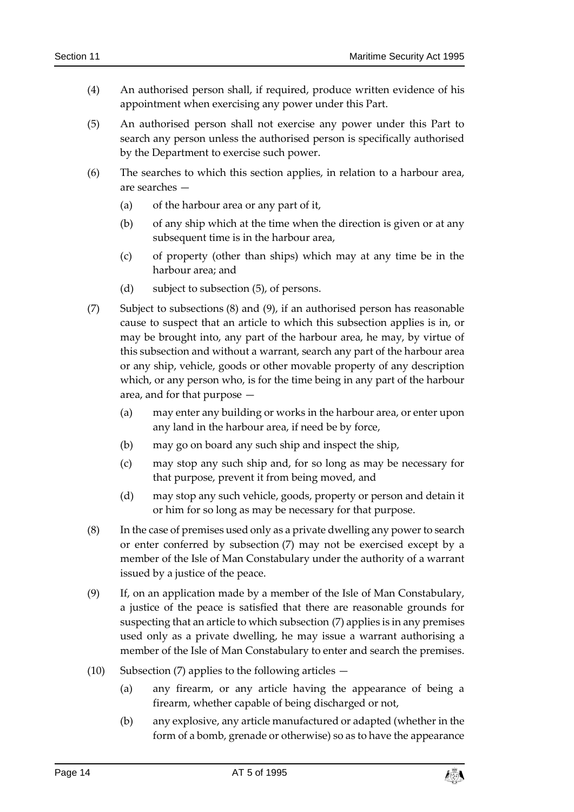- (4) An authorised person shall, if required, produce written evidence of his appointment when exercising any power under this Part.
- (5) An authorised person shall not exercise any power under this Part to search any person unless the authorised person is specifically authorised by the Department to exercise such power.
- (6) The searches to which this section applies, in relation to a harbour area, are searches —
	- (a) of the harbour area or any part of it,
	- (b) of any ship which at the time when the direction is given or at any subsequent time is in the harbour area,
	- (c) of property (other than ships) which may at any time be in the harbour area; and
	- (d) subject to subsection (5), of persons.
- (7) Subject to subsections (8) and (9), if an authorised person has reasonable cause to suspect that an article to which this subsection applies is in, or may be brought into, any part of the harbour area, he may, by virtue of this subsection and without a warrant, search any part of the harbour area or any ship, vehicle, goods or other movable property of any description which, or any person who, is for the time being in any part of the harbour area, and for that purpose —
	- (a) may enter any building or works in the harbour area, or enter upon any land in the harbour area, if need be by force,
	- (b) may go on board any such ship and inspect the ship,
	- (c) may stop any such ship and, for so long as may be necessary for that purpose, prevent it from being moved, and
	- (d) may stop any such vehicle, goods, property or person and detain it or him for so long as may be necessary for that purpose.
- (8) In the case of premises used only as a private dwelling any power to search or enter conferred by subsection (7) may not be exercised except by a member of the Isle of Man Constabulary under the authority of a warrant issued by a justice of the peace.
- (9) If, on an application made by a member of the Isle of Man Constabulary, a justice of the peace is satisfied that there are reasonable grounds for suspecting that an article to which subsection (7) applies is in any premises used only as a private dwelling, he may issue a warrant authorising a member of the Isle of Man Constabulary to enter and search the premises.
- (10) Subsection (7) applies to the following articles  $-$ 
	- (a) any firearm, or any article having the appearance of being a firearm, whether capable of being discharged or not,
	- (b) any explosive, any article manufactured or adapted (whether in the form of a bomb, grenade or otherwise) so as to have the appearance

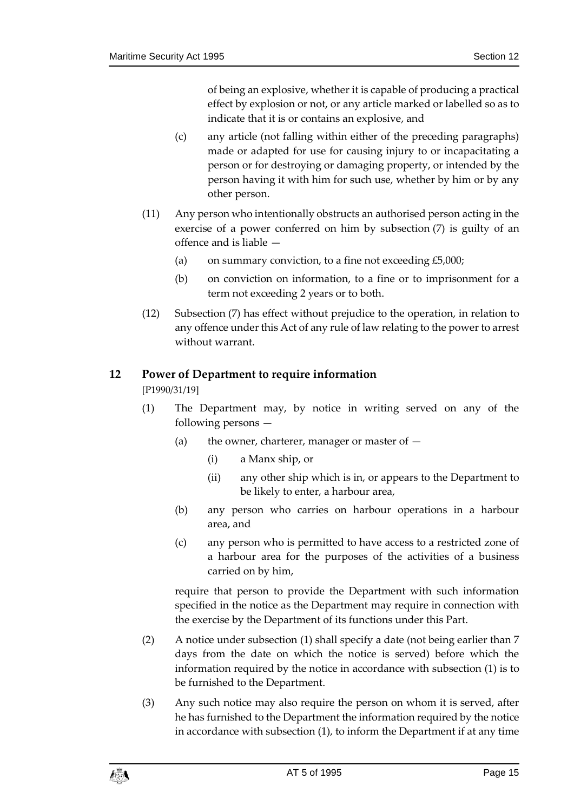of being an explosive, whether it is capable of producing a practical effect by explosion or not, or any article marked or labelled so as to indicate that it is or contains an explosive, and

- (c) any article (not falling within either of the preceding paragraphs) made or adapted for use for causing injury to or incapacitating a person or for destroying or damaging property, or intended by the person having it with him for such use, whether by him or by any other person.
- (11) Any person who intentionally obstructs an authorised person acting in the exercise of a power conferred on him by subsection (7) is guilty of an offence and is liable —
	- (a) on summary conviction, to a fine not exceeding  $£5,000;$
	- (b) on conviction on information, to a fine or to imprisonment for a term not exceeding 2 years or to both.
- (12) Subsection (7) has effect without prejudice to the operation, in relation to any offence under this Act of any rule of law relating to the power to arrest without warrant.

### <span id="page-14-0"></span>**12 Power of Department to require information**

[P1990/31/19]

- (1) The Department may, by notice in writing served on any of the following persons —
	- (a) the owner, charterer, manager or master of  $-$ 
		- (i) a Manx ship, or
		- (ii) any other ship which is in, or appears to the Department to be likely to enter, a harbour area,
	- (b) any person who carries on harbour operations in a harbour area, and
	- (c) any person who is permitted to have access to a restricted zone of a harbour area for the purposes of the activities of a business carried on by him,

require that person to provide the Department with such information specified in the notice as the Department may require in connection with the exercise by the Department of its functions under this Part.

- (2) A notice under subsection (1) shall specify a date (not being earlier than 7 days from the date on which the notice is served) before which the information required by the notice in accordance with subsection (1) is to be furnished to the Department.
- (3) Any such notice may also require the person on whom it is served, after he has furnished to the Department the information required by the notice in accordance with subsection (1), to inform the Department if at any time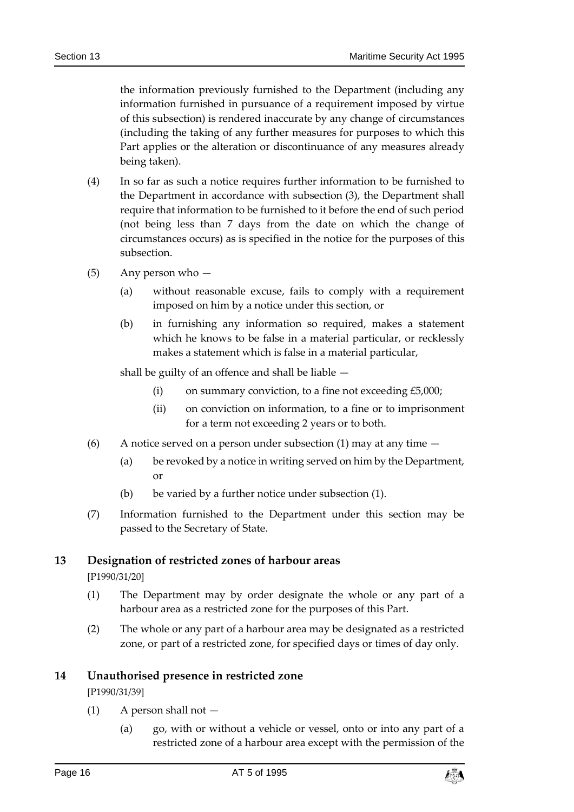the information previously furnished to the Department (including any information furnished in pursuance of a requirement imposed by virtue of this subsection) is rendered inaccurate by any change of circumstances (including the taking of any further measures for purposes to which this Part applies or the alteration or discontinuance of any measures already being taken).

- (4) In so far as such a notice requires further information to be furnished to the Department in accordance with subsection (3), the Department shall require that information to be furnished to it before the end of such period (not being less than 7 days from the date on which the change of circumstances occurs) as is specified in the notice for the purposes of this subsection.
- (5) Any person who
	- (a) without reasonable excuse, fails to comply with a requirement imposed on him by a notice under this section, or
	- (b) in furnishing any information so required, makes a statement which he knows to be false in a material particular, or recklessly makes a statement which is false in a material particular,

shall be guilty of an offence and shall be liable —

- (i) on summary conviction, to a fine not exceeding  $£5,000;$
- (ii) on conviction on information, to a fine or to imprisonment for a term not exceeding 2 years or to both.
- (6) A notice served on a person under subsection (1) may at any time  $-$ 
	- (a) be revoked by a notice in writing served on him by the Department, or
	- (b) be varied by a further notice under subsection  $(1)$ .
- (7) Information furnished to the Department under this section may be passed to the Secretary of State.

### <span id="page-15-0"></span>**13 Designation of restricted zones of harbour areas**

[P1990/31/20]

- (1) The Department may by order designate the whole or any part of a harbour area as a restricted zone for the purposes of this Part.
- (2) The whole or any part of a harbour area may be designated as a restricted zone, or part of a restricted zone, for specified days or times of day only.

### <span id="page-15-1"></span>**14 Unauthorised presence in restricted zone**

[P1990/31/39]

- $(1)$  A person shall not  $-$ 
	- (a) go, with or without a vehicle or vessel, onto or into any part of a restricted zone of a harbour area except with the permission of the

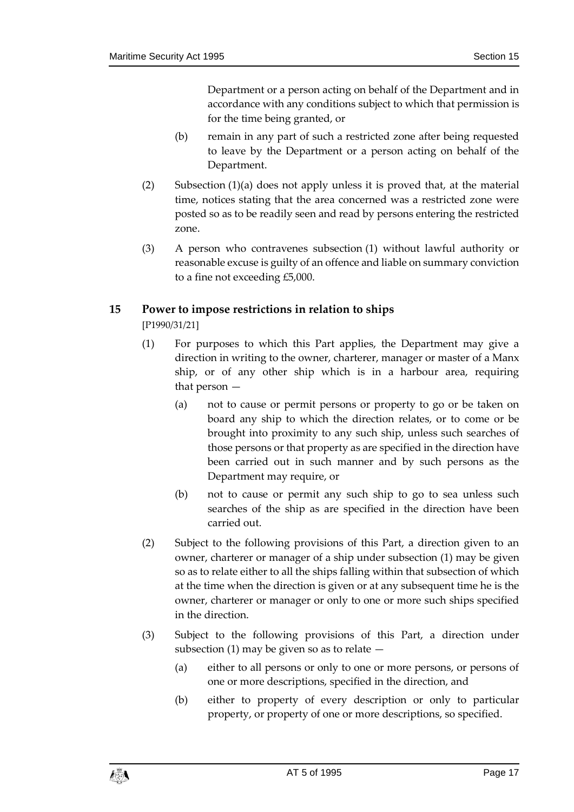Department or a person acting on behalf of the Department and in accordance with any conditions subject to which that permission is for the time being granted, or

- (b) remain in any part of such a restricted zone after being requested to leave by the Department or a person acting on behalf of the Department.
- (2) Subsection (1)(a) does not apply unless it is proved that, at the material time, notices stating that the area concerned was a restricted zone were posted so as to be readily seen and read by persons entering the restricted zone.
- (3) A person who contravenes subsection (1) without lawful authority or reasonable excuse is guilty of an offence and liable on summary conviction to a fine not exceeding £5,000.

### <span id="page-16-0"></span>**15 Power to impose restrictions in relation to ships**

[P1990/31/21]

- (1) For purposes to which this Part applies, the Department may give a direction in writing to the owner, charterer, manager or master of a Manx ship, or of any other ship which is in a harbour area, requiring that person —
	- (a) not to cause or permit persons or property to go or be taken on board any ship to which the direction relates, or to come or be brought into proximity to any such ship, unless such searches of those persons or that property as are specified in the direction have been carried out in such manner and by such persons as the Department may require, or
	- (b) not to cause or permit any such ship to go to sea unless such searches of the ship as are specified in the direction have been carried out.
- (2) Subject to the following provisions of this Part, a direction given to an owner, charterer or manager of a ship under subsection (1) may be given so as to relate either to all the ships falling within that subsection of which at the time when the direction is given or at any subsequent time he is the owner, charterer or manager or only to one or more such ships specified in the direction.
- (3) Subject to the following provisions of this Part, a direction under subsection (1) may be given so as to relate  $-$ 
	- (a) either to all persons or only to one or more persons, or persons of one or more descriptions, specified in the direction, and
	- (b) either to property of every description or only to particular property, or property of one or more descriptions, so specified.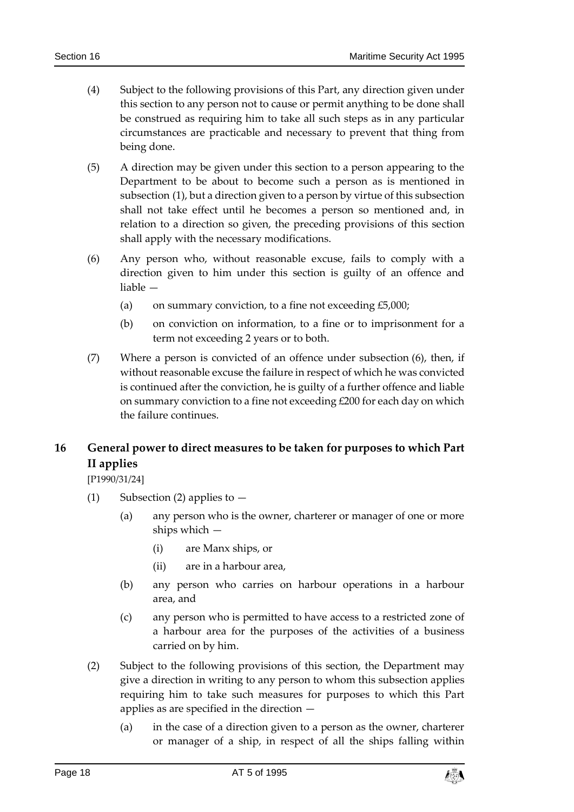- (4) Subject to the following provisions of this Part, any direction given under this section to any person not to cause or permit anything to be done shall be construed as requiring him to take all such steps as in any particular circumstances are practicable and necessary to prevent that thing from being done.
- (5) A direction may be given under this section to a person appearing to the Department to be about to become such a person as is mentioned in subsection (1), but a direction given to a person by virtue of this subsection shall not take effect until he becomes a person so mentioned and, in relation to a direction so given, the preceding provisions of this section shall apply with the necessary modifications.
- (6) Any person who, without reasonable excuse, fails to comply with a direction given to him under this section is guilty of an offence and liable —
	- (a) on summary conviction, to a fine not exceeding  $£5,000;$
	- (b) on conviction on information, to a fine or to imprisonment for a term not exceeding 2 years or to both.
- (7) Where a person is convicted of an offence under subsection (6), then, if without reasonable excuse the failure in respect of which he was convicted is continued after the conviction, he is guilty of a further offence and liable on summary conviction to a fine not exceeding £200 for each day on which the failure continues.

### <span id="page-17-0"></span>**16 General power to direct measures to be taken for purposes to which Part II applies**

[P1990/31/24]

- (1) Subsection (2) applies to  $-$ 
	- (a) any person who is the owner, charterer or manager of one or more ships which —
		- (i) are Manx ships, or
		- (ii) are in a harbour area,
	- (b) any person who carries on harbour operations in a harbour area, and
	- (c) any person who is permitted to have access to a restricted zone of a harbour area for the purposes of the activities of a business carried on by him.
- (2) Subject to the following provisions of this section, the Department may give a direction in writing to any person to whom this subsection applies requiring him to take such measures for purposes to which this Part applies as are specified in the direction —
	- (a) in the case of a direction given to a person as the owner, charterer or manager of a ship, in respect of all the ships falling within

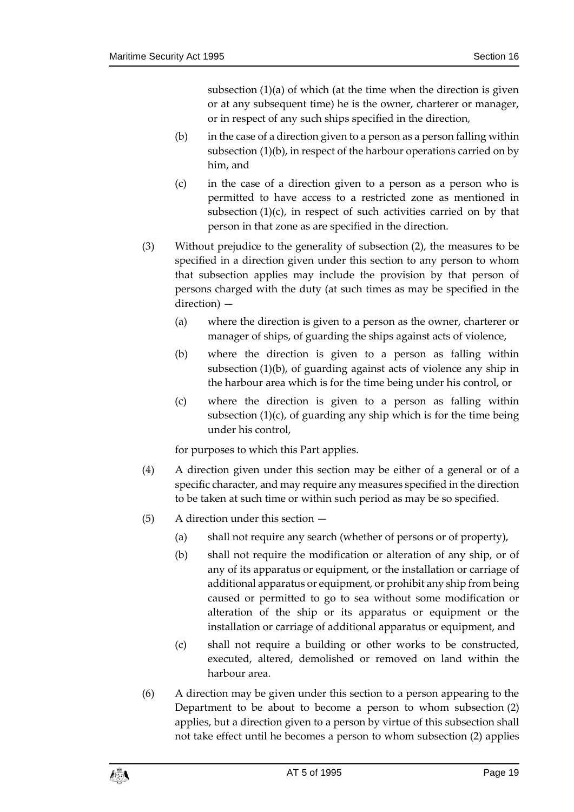subsection (1)(a) of which (at the time when the direction is given or at any subsequent time) he is the owner, charterer or manager, or in respect of any such ships specified in the direction,

- (b) in the case of a direction given to a person as a person falling within subsection (1)(b), in respect of the harbour operations carried on by him, and
- (c) in the case of a direction given to a person as a person who is permitted to have access to a restricted zone as mentioned in subsection (1)(c), in respect of such activities carried on by that person in that zone as are specified in the direction.
- (3) Without prejudice to the generality of subsection (2), the measures to be specified in a direction given under this section to any person to whom that subsection applies may include the provision by that person of persons charged with the duty (at such times as may be specified in the direction) —
	- (a) where the direction is given to a person as the owner, charterer or manager of ships, of guarding the ships against acts of violence,
	- (b) where the direction is given to a person as falling within subsection (1)(b), of guarding against acts of violence any ship in the harbour area which is for the time being under his control, or
	- (c) where the direction is given to a person as falling within subsection  $(1)(c)$ , of guarding any ship which is for the time being under his control,

for purposes to which this Part applies.

- (4) A direction given under this section may be either of a general or of a specific character, and may require any measures specified in the direction to be taken at such time or within such period as may be so specified.
- (5) A direction under this section
	- (a) shall not require any search (whether of persons or of property),
	- (b) shall not require the modification or alteration of any ship, or of any of its apparatus or equipment, or the installation or carriage of additional apparatus or equipment, or prohibit any ship from being caused or permitted to go to sea without some modification or alteration of the ship or its apparatus or equipment or the installation or carriage of additional apparatus or equipment, and
	- (c) shall not require a building or other works to be constructed, executed, altered, demolished or removed on land within the harbour area.
- (6) A direction may be given under this section to a person appearing to the Department to be about to become a person to whom subsection (2) applies, but a direction given to a person by virtue of this subsection shall not take effect until he becomes a person to whom subsection (2) applies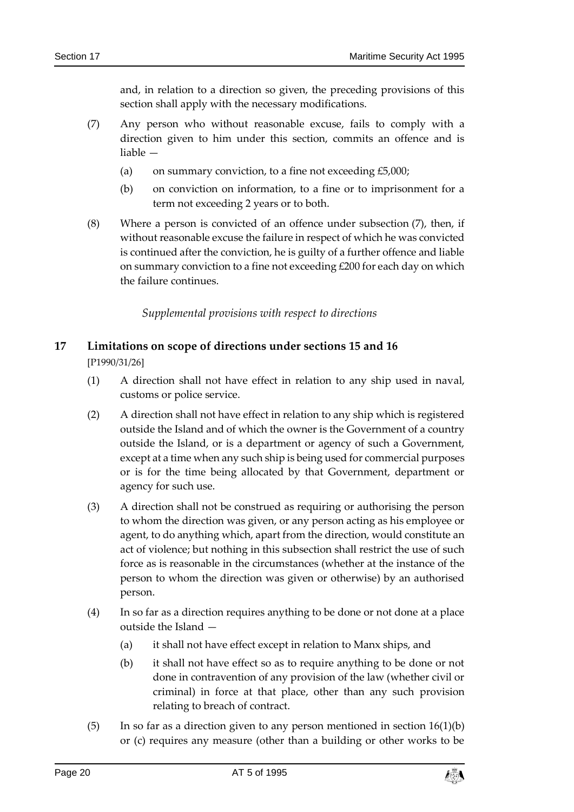and, in relation to a direction so given, the preceding provisions of this section shall apply with the necessary modifications.

- (7) Any person who without reasonable excuse, fails to comply with a direction given to him under this section, commits an offence and is liable —
	- (a) on summary conviction, to a fine not exceeding  $£5,000;$
	- (b) on conviction on information, to a fine or to imprisonment for a term not exceeding 2 years or to both.
- (8) Where a person is convicted of an offence under subsection (7), then, if without reasonable excuse the failure in respect of which he was convicted is continued after the conviction, he is guilty of a further offence and liable on summary conviction to a fine not exceeding £200 for each day on which the failure continues.

*Supplemental provisions with respect to directions*

## <span id="page-19-1"></span><span id="page-19-0"></span>**17 Limitations on scope of directions under sections 15 and 16**

[P1990/31/26]

- (1) A direction shall not have effect in relation to any ship used in naval, customs or police service.
- (2) A direction shall not have effect in relation to any ship which is registered outside the Island and of which the owner is the Government of a country outside the Island, or is a department or agency of such a Government, except at a time when any such ship is being used for commercial purposes or is for the time being allocated by that Government, department or agency for such use.
- (3) A direction shall not be construed as requiring or authorising the person to whom the direction was given, or any person acting as his employee or agent, to do anything which, apart from the direction, would constitute an act of violence; but nothing in this subsection shall restrict the use of such force as is reasonable in the circumstances (whether at the instance of the person to whom the direction was given or otherwise) by an authorised person.
- (4) In so far as a direction requires anything to be done or not done at a place outside the Island —
	- (a) it shall not have effect except in relation to Manx ships, and
	- (b) it shall not have effect so as to require anything to be done or not done in contravention of any provision of the law (whether civil or criminal) in force at that place, other than any such provision relating to breach of contract.
- (5) In so far as a direction given to any person mentioned in section  $16(1)(b)$ or (c) requires any measure (other than a building or other works to be

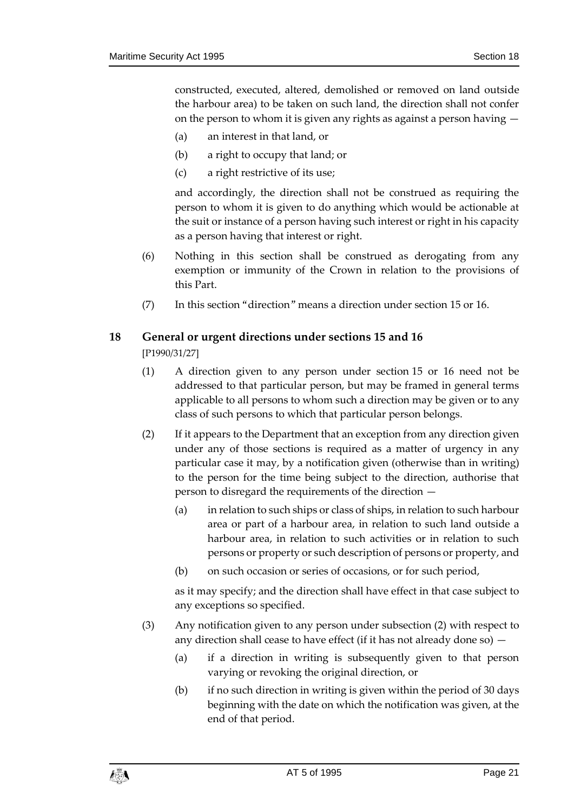constructed, executed, altered, demolished or removed on land outside the harbour area) to be taken on such land, the direction shall not confer on the person to whom it is given any rights as against a person having —

- (a) an interest in that land, or
- (b) a right to occupy that land; or
- (c) a right restrictive of its use;

and accordingly, the direction shall not be construed as requiring the person to whom it is given to do anything which would be actionable at the suit or instance of a person having such interest or right in his capacity as a person having that interest or right.

- (6) Nothing in this section shall be construed as derogating from any exemption or immunity of the Crown in relation to the provisions of this Part.
- (7) In this section "direction" means a direction under section 15 or 16.

### <span id="page-20-0"></span>**18 General or urgent directions under sections 15 and 16**

[P1990/31/27]

- (1) A direction given to any person under section 15 or 16 need not be addressed to that particular person, but may be framed in general terms applicable to all persons to whom such a direction may be given or to any class of such persons to which that particular person belongs.
- (2) If it appears to the Department that an exception from any direction given under any of those sections is required as a matter of urgency in any particular case it may, by a notification given (otherwise than in writing) to the person for the time being subject to the direction, authorise that person to disregard the requirements of the direction —
	- (a) in relation to such ships or class of ships, in relation to such harbour area or part of a harbour area, in relation to such land outside a harbour area, in relation to such activities or in relation to such persons or property or such description of persons or property, and
	- (b) on such occasion or series of occasions, or for such period,

as it may specify; and the direction shall have effect in that case subject to any exceptions so specified.

- (3) Any notification given to any person under subsection (2) with respect to any direction shall cease to have effect (if it has not already done so) —
	- (a) if a direction in writing is subsequently given to that person varying or revoking the original direction, or
	- (b) if no such direction in writing is given within the period of 30 days beginning with the date on which the notification was given, at the end of that period.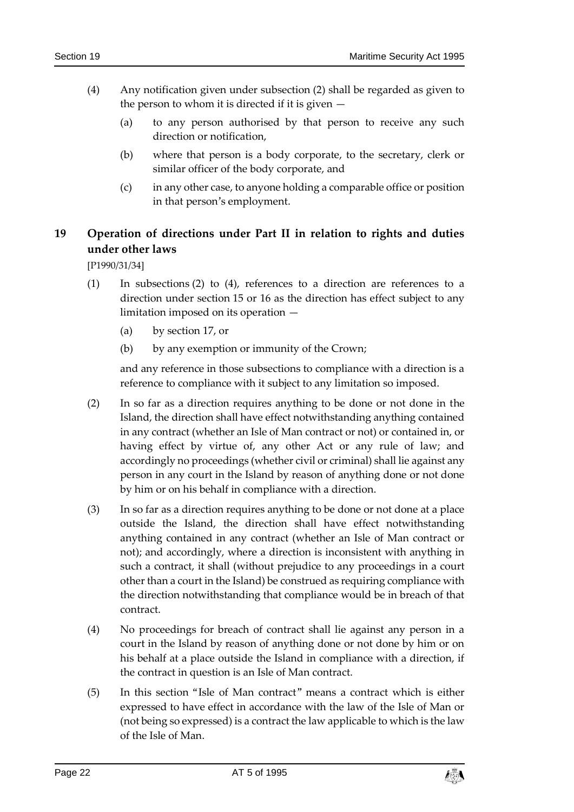- (4) Any notification given under subsection (2) shall be regarded as given to the person to whom it is directed if it is given  $-$ 
	- (a) to any person authorised by that person to receive any such direction or notification,
	- (b) where that person is a body corporate, to the secretary, clerk or similar officer of the body corporate, and
	- (c) in any other case, to anyone holding a comparable office or position in that person's employment.

### <span id="page-21-0"></span>**19 Operation of directions under Part II in relation to rights and duties under other laws**

[P1990/31/34]

- (1) In subsections (2) to (4), references to a direction are references to a direction under section 15 or 16 as the direction has effect subject to any limitation imposed on its operation —
	- (a) by section 17, or
	- (b) by any exemption or immunity of the Crown;

and any reference in those subsections to compliance with a direction is a reference to compliance with it subject to any limitation so imposed.

- (2) In so far as a direction requires anything to be done or not done in the Island, the direction shall have effect notwithstanding anything contained in any contract (whether an Isle of Man contract or not) or contained in, or having effect by virtue of, any other Act or any rule of law; and accordingly no proceedings (whether civil or criminal) shall lie against any person in any court in the Island by reason of anything done or not done by him or on his behalf in compliance with a direction.
- (3) In so far as a direction requires anything to be done or not done at a place outside the Island, the direction shall have effect notwithstanding anything contained in any contract (whether an Isle of Man contract or not); and accordingly, where a direction is inconsistent with anything in such a contract, it shall (without prejudice to any proceedings in a court other than a court in the Island) be construed as requiring compliance with the direction notwithstanding that compliance would be in breach of that contract.
- (4) No proceedings for breach of contract shall lie against any person in a court in the Island by reason of anything done or not done by him or on his behalf at a place outside the Island in compliance with a direction, if the contract in question is an Isle of Man contract.
- (5) In this section "Isle of Man contract" means a contract which is either expressed to have effect in accordance with the law of the Isle of Man or (not being so expressed) is a contract the law applicable to which is the law of the Isle of Man.

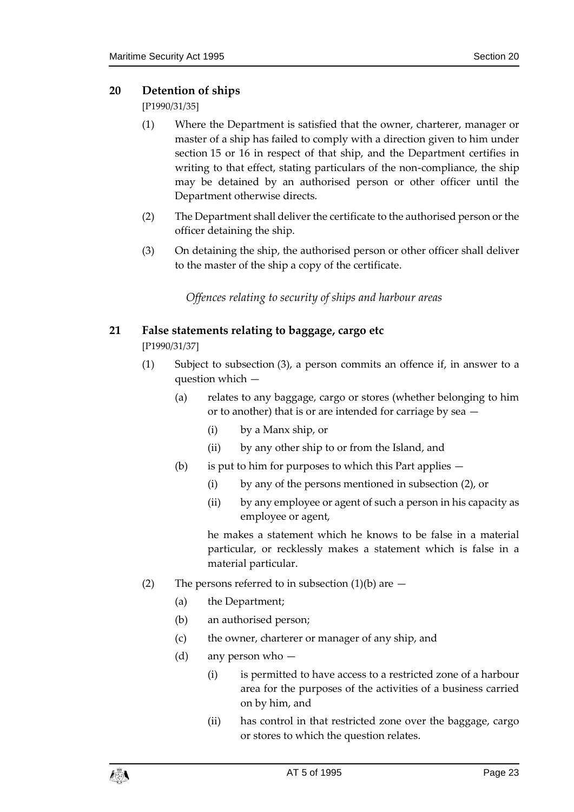### <span id="page-22-0"></span>**20 Detention of ships**

[P1990/31/35]

- (1) Where the Department is satisfied that the owner, charterer, manager or master of a ship has failed to comply with a direction given to him under section 15 or 16 in respect of that ship, and the Department certifies in writing to that effect, stating particulars of the non-compliance, the ship may be detained by an authorised person or other officer until the Department otherwise directs.
- (2) The Department shall deliver the certificate to the authorised person or the officer detaining the ship.
- <span id="page-22-1"></span>(3) On detaining the ship, the authorised person or other officer shall deliver to the master of the ship a copy of the certificate.

*Offences relating to security of ships and harbour areas*

### <span id="page-22-2"></span>**21 False statements relating to baggage, cargo etc**

[P1990/31/37]

- (1) Subject to subsection (3), a person commits an offence if, in answer to a question which —
	- (a) relates to any baggage, cargo or stores (whether belonging to him or to another) that is or are intended for carriage by sea —
		- (i) by a Manx ship, or
		- (ii) by any other ship to or from the Island, and
	- (b) is put to him for purposes to which this Part applies  $-$ 
		- (i) by any of the persons mentioned in subsection (2), or
		- (ii) by any employee or agent of such a person in his capacity as employee or agent,

he makes a statement which he knows to be false in a material particular, or recklessly makes a statement which is false in a material particular.

- (2) The persons referred to in subsection  $(1)(b)$  are  $-$ 
	- (a) the Department;
	- (b) an authorised person;
	- (c) the owner, charterer or manager of any ship, and
	- (d) any person who
		- (i) is permitted to have access to a restricted zone of a harbour area for the purposes of the activities of a business carried on by him, and
		- (ii) has control in that restricted zone over the baggage, cargo or stores to which the question relates.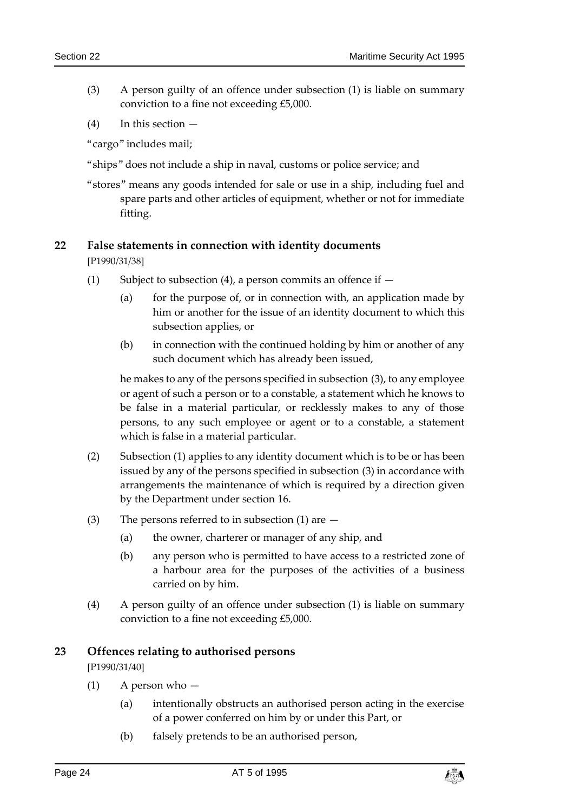- (3) A person guilty of an offence under subsection (1) is liable on summary conviction to a fine not exceeding £5,000.
- $(4)$  In this section  $-$

"cargo" includes mail;

- "ships" does not include a ship in naval, customs or police service; and
- "stores" means any goods intended for sale or use in a ship, including fuel and spare parts and other articles of equipment, whether or not for immediate fitting.

### <span id="page-23-0"></span>**22 False statements in connection with identity documents**

[P1990/31/38]

- (1) Subject to subsection (4), a person commits an offence if  $-$ 
	- (a) for the purpose of, or in connection with, an application made by him or another for the issue of an identity document to which this subsection applies, or
	- (b) in connection with the continued holding by him or another of any such document which has already been issued,

he makes to any of the persons specified in subsection (3), to any employee or agent of such a person or to a constable, a statement which he knows to be false in a material particular, or recklessly makes to any of those persons, to any such employee or agent or to a constable, a statement which is false in a material particular.

- (2) Subsection (1) applies to any identity document which is to be or has been issued by any of the persons specified in subsection (3) in accordance with arrangements the maintenance of which is required by a direction given by the Department under section 16.
- (3) The persons referred to in subsection (1) are
	- (a) the owner, charterer or manager of any ship, and
	- (b) any person who is permitted to have access to a restricted zone of a harbour area for the purposes of the activities of a business carried on by him.
- (4) A person guilty of an offence under subsection (1) is liable on summary conviction to a fine not exceeding £5,000.

### <span id="page-23-1"></span>**23 Offences relating to authorised persons**

[P1990/31/40]

- (1) A person who
	- (a) intentionally obstructs an authorised person acting in the exercise of a power conferred on him by or under this Part, or
	- (b) falsely pretends to be an authorised person,

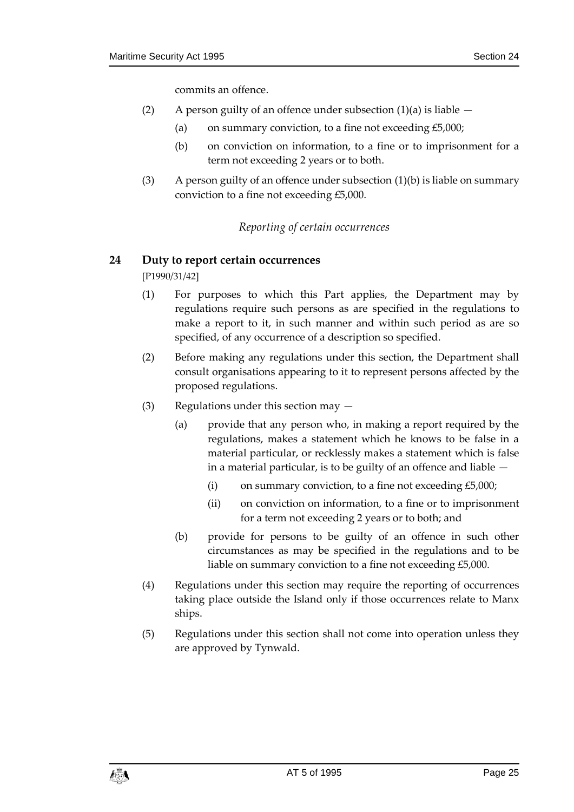commits an offence.

- (2) A person guilty of an offence under subsection  $(1)(a)$  is liable  $-$ 
	- (a) on summary conviction, to a fine not exceeding  $£5,000;$
	- (b) on conviction on information, to a fine or to imprisonment for a term not exceeding 2 years or to both.
- <span id="page-24-0"></span>(3) A person guilty of an offence under subsection  $(1)(b)$  is liable on summary conviction to a fine not exceeding £5,000.

### *Reporting of certain occurrences*

### <span id="page-24-1"></span>**24 Duty to report certain occurrences**

[P1990/31/42]

- (1) For purposes to which this Part applies, the Department may by regulations require such persons as are specified in the regulations to make a report to it, in such manner and within such period as are so specified, of any occurrence of a description so specified.
- (2) Before making any regulations under this section, the Department shall consult organisations appearing to it to represent persons affected by the proposed regulations.
- (3) Regulations under this section may
	- (a) provide that any person who, in making a report required by the regulations, makes a statement which he knows to be false in a material particular, or recklessly makes a statement which is false in a material particular, is to be guilty of an offence and liable —
		- (i) on summary conviction, to a fine not exceeding  $£5,000;$
		- (ii) on conviction on information, to a fine or to imprisonment for a term not exceeding 2 years or to both; and
	- (b) provide for persons to be guilty of an offence in such other circumstances as may be specified in the regulations and to be liable on summary conviction to a fine not exceeding £5,000.
- (4) Regulations under this section may require the reporting of occurrences taking place outside the Island only if those occurrences relate to Manx ships.
- (5) Regulations under this section shall not come into operation unless they are approved by Tynwald.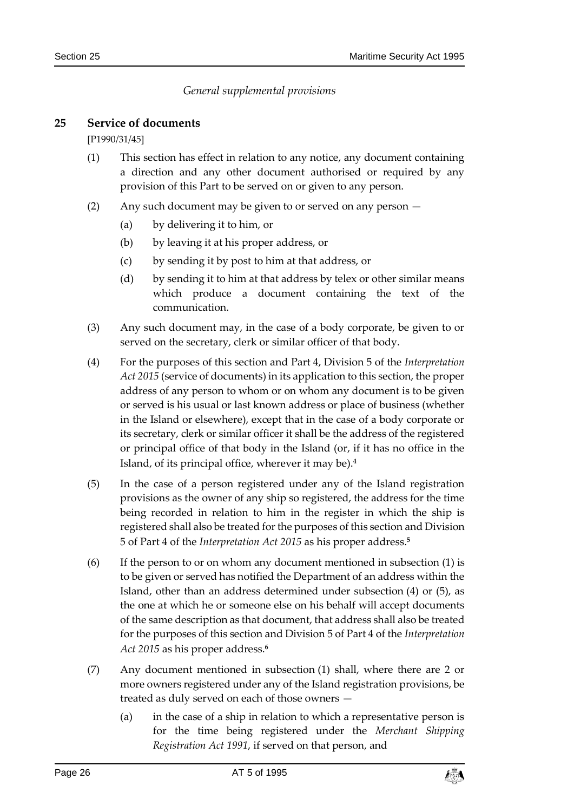### *General supplemental provisions*

#### <span id="page-25-1"></span><span id="page-25-0"></span>**25 Service of documents**

[P1990/31/45]

- (1) This section has effect in relation to any notice, any document containing a direction and any other document authorised or required by any provision of this Part to be served on or given to any person.
- (2) Any such document may be given to or served on any person
	- (a) by delivering it to him, or
	- (b) by leaving it at his proper address, or
	- (c) by sending it by post to him at that address, or
	- (d) by sending it to him at that address by telex or other similar means which produce a document containing the text of the communication.
- (3) Any such document may, in the case of a body corporate, be given to or served on the secretary, clerk or similar officer of that body.
- (4) For the purposes of this section and Part 4, Division 5 of the *Interpretation Act 2015* (service of documents) in its application to this section, the proper address of any person to whom or on whom any document is to be given or served is his usual or last known address or place of business (whether in the Island or elsewhere), except that in the case of a body corporate or its secretary, clerk or similar officer it shall be the address of the registered or principal office of that body in the Island (or, if it has no office in the Island, of its principal office, wherever it may be).**<sup>4</sup>**
- (5) In the case of a person registered under any of the Island registration provisions as the owner of any ship so registered, the address for the time being recorded in relation to him in the register in which the ship is registered shall also be treated for the purposes of this section and Division 5 of Part 4 of the *Interpretation Act 2015* as his proper address.**<sup>5</sup>**
- (6) If the person to or on whom any document mentioned in subsection (1) is to be given or served has notified the Department of an address within the Island, other than an address determined under subsection (4) or (5), as the one at which he or someone else on his behalf will accept documents of the same description as that document, that address shall also be treated for the purposes of this section and Division 5 of Part 4 of the *Interpretation Act 2015* as his proper address. **6**
- (7) Any document mentioned in subsection (1) shall, where there are 2 or more owners registered under any of the Island registration provisions, be treated as duly served on each of those owners —
	- (a) in the case of a ship in relation to which a representative person is for the time being registered under the *Merchant Shipping Registration Act 1991*, if served on that person, and

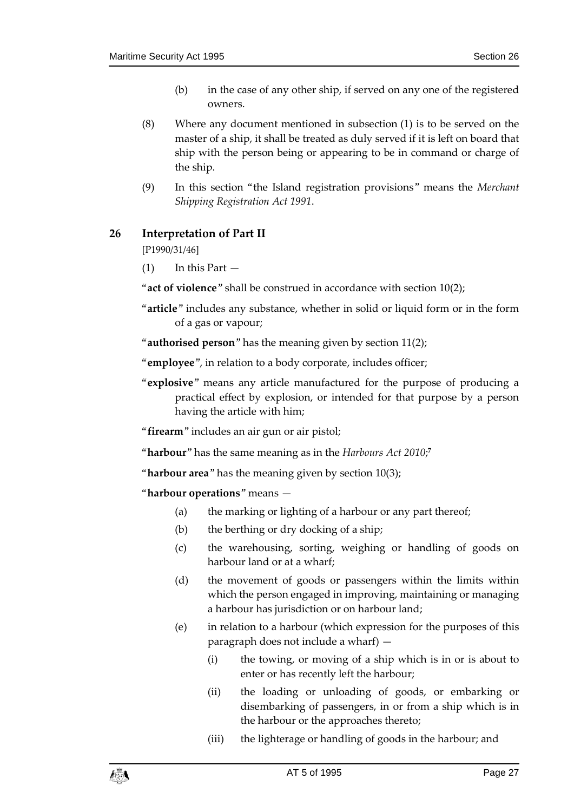- (b) in the case of any other ship, if served on any one of the registered owners.
- (8) Where any document mentioned in subsection (1) is to be served on the master of a ship, it shall be treated as duly served if it is left on board that ship with the person being or appearing to be in command or charge of the ship.
- (9) In this section "the Island registration provisions" means the *Merchant Shipping Registration Act 1991*.

### <span id="page-26-0"></span>**26 Interpretation of Part II**

[P1990/31/46]

 $(1)$  In this Part  $-$ 

"**act of violence**" shall be construed in accordance with section 10(2);

- "**article**" includes any substance, whether in solid or liquid form or in the form of a gas or vapour;
- "**authorised person**" has the meaning given by section 11(2);

"**employee**", in relation to a body corporate, includes officer;

"**explosive**" means any article manufactured for the purpose of producing a practical effect by explosion, or intended for that purpose by a person having the article with him;

"**firearm**" includes an air gun or air pistol;

"**harbour**" has the same meaning as in the *Harbours Act 2010*; **7**

"**harbour area**" has the meaning given by section 10(3);

"**harbour operations**" means —

- (a) the marking or lighting of a harbour or any part thereof;
- (b) the berthing or dry docking of a ship;
- (c) the warehousing, sorting, weighing or handling of goods on harbour land or at a wharf;
- (d) the movement of goods or passengers within the limits within which the person engaged in improving, maintaining or managing a harbour has jurisdiction or on harbour land;
- (e) in relation to a harbour (which expression for the purposes of this paragraph does not include a wharf) —
	- (i) the towing, or moving of a ship which is in or is about to enter or has recently left the harbour;
	- (ii) the loading or unloading of goods, or embarking or disembarking of passengers, in or from a ship which is in the harbour or the approaches thereto;
	- (iii) the lighterage or handling of goods in the harbour; and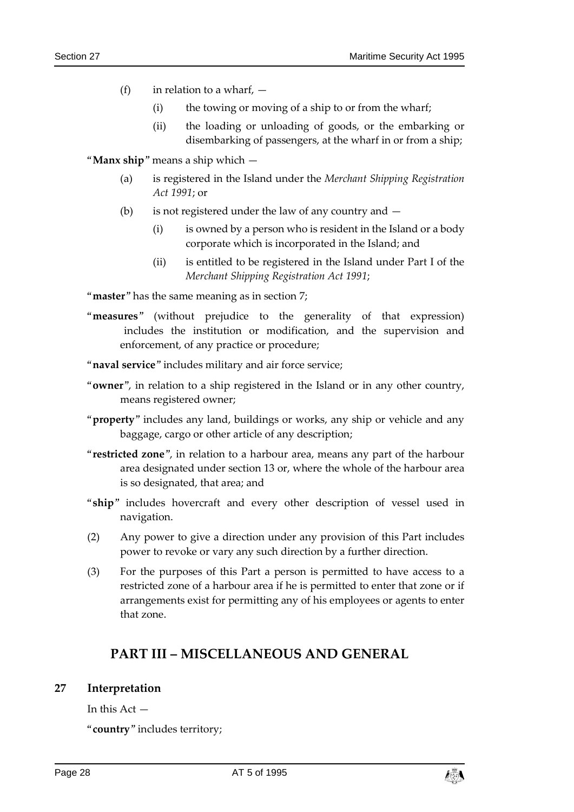- (f) in relation to a wharf,  $-$ 
	- (i) the towing or moving of a ship to or from the wharf;
	- (ii) the loading or unloading of goods, or the embarking or disembarking of passengers, at the wharf in or from a ship;

"**Manx ship**" means a ship which —

- (a) is registered in the Island under the *Merchant Shipping Registration Act 1991*; or
- (b) is not registered under the law of any country and
	- $(i)$  is owned by a person who is resident in the Island or a body corporate which is incorporated in the Island; and
	- (ii) is entitled to be registered in the Island under Part I of the *Merchant Shipping Registration Act 1991*;

"**master**" has the same meaning as in section 7;

"**measures**" (without prejudice to the generality of that expression) includes the institution or modification, and the supervision and enforcement, of any practice or procedure;

"**naval service**" includes military and air force service;

- "**owner**", in relation to a ship registered in the Island or in any other country, means registered owner;
- "**property**" includes any land, buildings or works, any ship or vehicle and any baggage, cargo or other article of any description;
- "**restricted zone**", in relation to a harbour area, means any part of the harbour area designated under section 13 or, where the whole of the harbour area is so designated, that area; and
- "**ship**" includes hovercraft and every other description of vessel used in navigation.
- (2) Any power to give a direction under any provision of this Part includes power to revoke or vary any such direction by a further direction.
- (3) For the purposes of this Part a person is permitted to have access to a restricted zone of a harbour area if he is permitted to enter that zone or if arrangements exist for permitting any of his employees or agents to enter that zone.

### **PART III – MISCELLANEOUS AND GENERAL**

#### <span id="page-27-1"></span><span id="page-27-0"></span>**27 Interpretation**

In this  $Act -$ 

"**country**" includes territory;

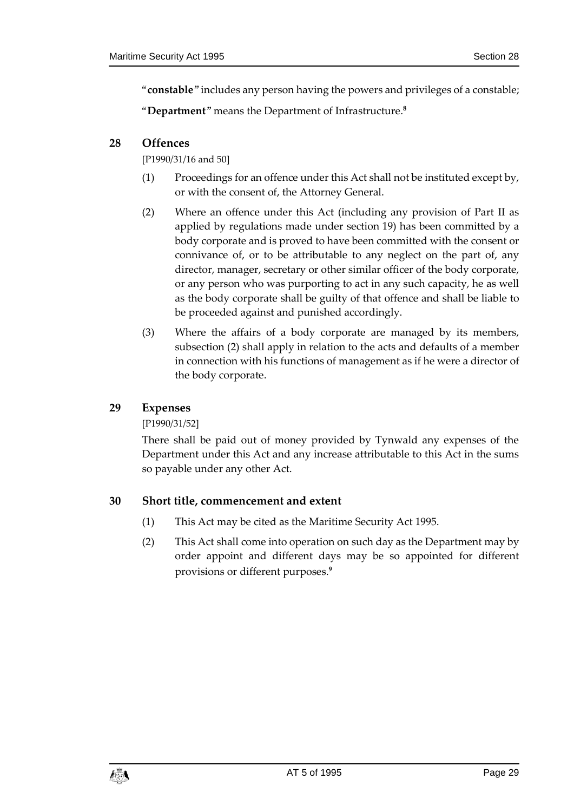"**constable**" includes any person having the powers and privileges of a constable;

"**Department**" means the Department of Infrastructure.**<sup>8</sup>**

### <span id="page-28-0"></span>**28 Offences**

[P1990/31/16 and 50]

- (1) Proceedings for an offence under this Act shall not be instituted except by, or with the consent of, the Attorney General.
- (2) Where an offence under this Act (including any provision of Part II as applied by regulations made under section 19) has been committed by a body corporate and is proved to have been committed with the consent or connivance of, or to be attributable to any neglect on the part of, any director, manager, secretary or other similar officer of the body corporate, or any person who was purporting to act in any such capacity, he as well as the body corporate shall be guilty of that offence and shall be liable to be proceeded against and punished accordingly.
- (3) Where the affairs of a body corporate are managed by its members, subsection (2) shall apply in relation to the acts and defaults of a member in connection with his functions of management as if he were a director of the body corporate.

### <span id="page-28-1"></span>**29 Expenses**

### [P1990/31/52]

There shall be paid out of money provided by Tynwald any expenses of the Department under this Act and any increase attributable to this Act in the sums so payable under any other Act.

### <span id="page-28-2"></span>**30 Short title, commencement and extent**

- (1) This Act may be cited as the Maritime Security Act 1995.
- (2) This Act shall come into operation on such day as the Department may by order appoint and different days may be so appointed for different provisions or different purposes.**9**